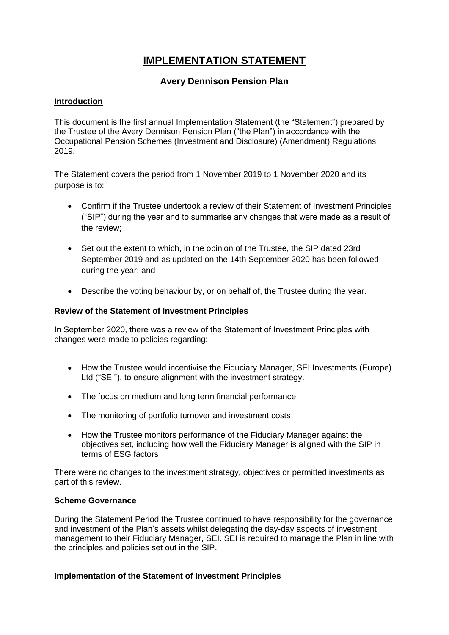# **IMPLEMENTATION STATEMENT**

## **Avery Dennison Pension Plan**

#### **Introduction**

This document is the first annual Implementation Statement (the "Statement") prepared by the Trustee of the Avery Dennison Pension Plan ("the Plan") in accordance with the Occupational Pension Schemes (Investment and Disclosure) (Amendment) Regulations 2019.

The Statement covers the period from 1 November 2019 to 1 November 2020 and its purpose is to:

- Confirm if the Trustee undertook a review of their Statement of Investment Principles ("SIP") during the year and to summarise any changes that were made as a result of the review;
- Set out the extent to which, in the opinion of the Trustee, the SIP dated 23rd September 2019 and as updated on the 14th September 2020 has been followed during the year; and
- Describe the voting behaviour by, or on behalf of, the Trustee during the year.

#### **Review of the Statement of Investment Principles**

In September 2020, there was a review of the Statement of Investment Principles with changes were made to policies regarding:

- How the Trustee would incentivise the Fiduciary Manager, SEI Investments (Europe) Ltd ("SEI"), to ensure alignment with the investment strategy.
- The focus on medium and long term financial performance
- The monitoring of portfolio turnover and investment costs
- How the Trustee monitors performance of the Fiduciary Manager against the objectives set, including how well the Fiduciary Manager is aligned with the SIP in terms of ESG factors

There were no changes to the investment strategy, objectives or permitted investments as part of this review.

#### **Scheme Governance**

During the Statement Period the Trustee continued to have responsibility for the governance and investment of the Plan's assets whilst delegating the day-day aspects of investment management to their Fiduciary Manager, SEI. SEI is required to manage the Plan in line with the principles and policies set out in the SIP.

#### **Implementation of the Statement of Investment Principles**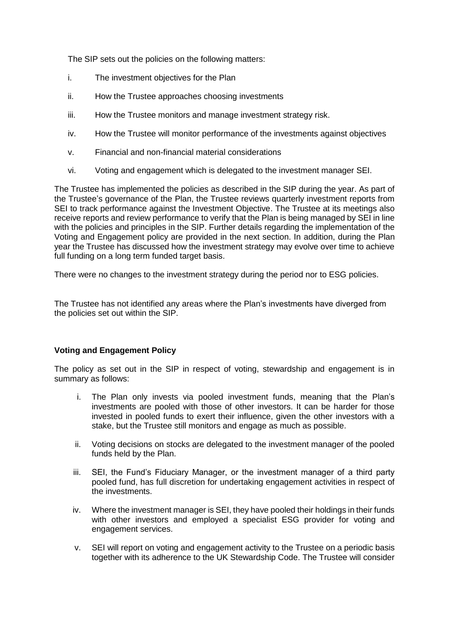The SIP sets out the policies on the following matters:

- i. The investment objectives for the Plan
- ii. How the Trustee approaches choosing investments
- iii. How the Trustee monitors and manage investment strategy risk.
- iv. How the Trustee will monitor performance of the investments against objectives
- v. Financial and non-financial material considerations
- vi. Voting and engagement which is delegated to the investment manager SEI.

The Trustee has implemented the policies as described in the SIP during the year. As part of the Trustee's governance of the Plan, the Trustee reviews quarterly investment reports from SEI to track performance against the Investment Objective. The Trustee at its meetings also receive reports and review performance to verify that the Plan is being managed by SEI in line with the policies and principles in the SIP. Further details regarding the implementation of the Voting and Engagement policy are provided in the next section. In addition, during the Plan year the Trustee has discussed how the investment strategy may evolve over time to achieve full funding on a long term funded target basis.

There were no changes to the investment strategy during the period nor to ESG policies.

The Trustee has not identified any areas where the Plan's investments have diverged from the policies set out within the SIP.

#### **Voting and Engagement Policy**

The policy as set out in the SIP in respect of voting, stewardship and engagement is in summary as follows:

- i. The Plan only invests via pooled investment funds, meaning that the Plan's investments are pooled with those of other investors. It can be harder for those invested in pooled funds to exert their influence, given the other investors with a stake, but the Trustee still monitors and engage as much as possible.
- ii. Voting decisions on stocks are delegated to the investment manager of the pooled funds held by the Plan.
- iii. SEI, the Fund's Fiduciary Manager, or the investment manager of a third party pooled fund, has full discretion for undertaking engagement activities in respect of the investments.
- iv. Where the investment manager is SEI, they have pooled their holdings in their funds with other investors and employed a specialist ESG provider for voting and engagement services.
- v. SEI will report on voting and engagement activity to the Trustee on a periodic basis together with its adherence to the UK Stewardship Code. The Trustee will consider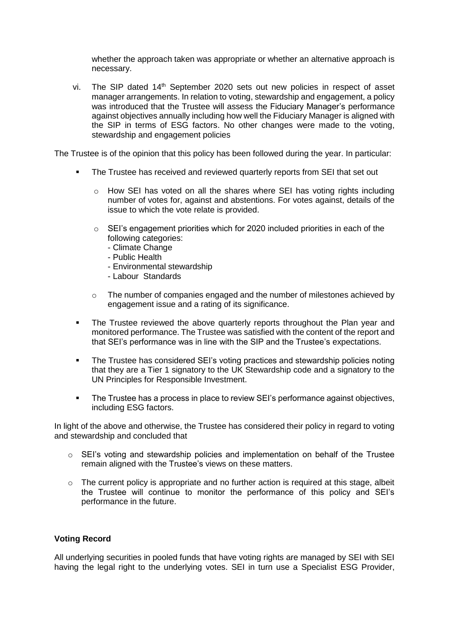whether the approach taken was appropriate or whether an alternative approach is necessary.

vi. The SIP dated  $14<sup>th</sup>$  September 2020 sets out new policies in respect of asset manager arrangements. In relation to voting, stewardship and engagement, a policy was introduced that the Trustee will assess the Fiduciary Manager's performance against objectives annually including how well the Fiduciary Manager is aligned with the SIP in terms of ESG factors. No other changes were made to the voting, stewardship and engagement policies

The Trustee is of the opinion that this policy has been followed during the year. In particular:

- The Trustee has received and reviewed quarterly reports from SEI that set out
	- $\circ$  How SEI has voted on all the shares where SEI has voting rights including number of votes for, against and abstentions. For votes against, details of the issue to which the vote relate is provided.
	- $\circ$  SEI's engagement priorities which for 2020 included priorities in each of the following categories:
		- Climate Change
		- Public Health
		- Environmental stewardship
		- Labour Standards
	- $\circ$  The number of companies engaged and the number of milestones achieved by engagement issue and a rating of its significance.
- The Trustee reviewed the above quarterly reports throughout the Plan year and monitored performance. The Trustee was satisfied with the content of the report and that SEI's performance was in line with the SIP and the Trustee's expectations.
- **The Trustee has considered SEI's voting practices and stewardship policies noting** that they are a Tier 1 signatory to the UK Stewardship code and a signatory to the UN Principles for Responsible Investment.
- The Trustee has a process in place to review SEI's performance against objectives, including ESG factors.

In light of the above and otherwise, the Trustee has considered their policy in regard to voting and stewardship and concluded that

- $\circ$  SEI's voting and stewardship policies and implementation on behalf of the Trustee remain aligned with the Trustee's views on these matters.
- o The current policy is appropriate and no further action is required at this stage, albeit the Trustee will continue to monitor the performance of this policy and SEI's performance in the future.

#### **Voting Record**

All underlying securities in pooled funds that have voting rights are managed by SEI with SEI having the legal right to the underlying votes. SEI in turn use a Specialist ESG Provider,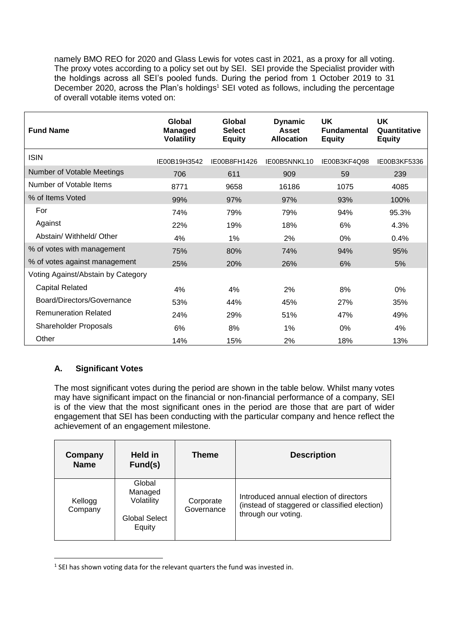namely BMO REO for 2020 and Glass Lewis for votes cast in 2021, as a proxy for all voting. The proxy votes according to a policy set out by SEI. SEI provide the Specialist provider with the holdings across all SEI's pooled funds. During the period from 1 October 2019 to 31 December 2020, across the Plan's holdings<sup>1</sup> SEI voted as follows, including the percentage of overall votable items voted on:

| <b>Fund Name</b>                   | Global<br><b>Managed</b><br><b>Volatility</b> | Global<br><b>Select</b><br><b>Equity</b> | <b>Dynamic</b><br><b>Asset</b><br><b>Allocation</b> | UK<br><b>Fundamental</b><br><b>Equity</b> | <b>UK</b><br>Quantitative<br><b>Equity</b> |
|------------------------------------|-----------------------------------------------|------------------------------------------|-----------------------------------------------------|-------------------------------------------|--------------------------------------------|
| <b>ISIN</b>                        | IE00B19H3542                                  | IE00B8FH1426                             | IE00B5NNKL10                                        | IE00B3KF4Q98                              | IE00B3KF5336                               |
| Number of Votable Meetings         | 706                                           | 611                                      | 909                                                 | 59                                        | 239                                        |
| Number of Votable Items            | 8771                                          | 9658                                     | 16186                                               | 1075                                      | 4085                                       |
| % of Items Voted                   | 99%                                           | 97%                                      | 97%                                                 | 93%                                       | 100%                                       |
| For                                | 74%                                           | 79%                                      | 79%                                                 | 94%                                       | 95.3%                                      |
| Against                            | 22%                                           | 19%                                      | 18%                                                 | 6%                                        | 4.3%                                       |
| Abstain/ Withheld/ Other           | 4%                                            | 1%                                       | 2%                                                  | $0\%$                                     | 0.4%                                       |
| % of votes with management         | 75%                                           | 80%                                      | 74%                                                 | 94%                                       | 95%                                        |
| % of votes against management      | 25%                                           | 20%                                      | 26%                                                 | 6%                                        | 5%                                         |
| Voting Against/Abstain by Category |                                               |                                          |                                                     |                                           |                                            |
| <b>Capital Related</b>             | 4%                                            | 4%                                       | 2%                                                  | 8%                                        | 0%                                         |
| Board/Directors/Governance         | 53%                                           | 44%                                      | 45%                                                 | 27%                                       | 35%                                        |
| <b>Remuneration Related</b>        | 24%                                           | 29%                                      | 51%                                                 | 47%                                       | 49%                                        |
| <b>Shareholder Proposals</b>       | 6%                                            | 8%                                       | $1\%$                                               | 0%                                        | 4%                                         |
| Other                              | 14%                                           | 15%                                      | 2%                                                  | 18%                                       | 13%                                        |

### **A. Significant Votes**

1

The most significant votes during the period are shown in the table below. Whilst many votes may have significant impact on the financial or non-financial performance of a company, SEI is of the view that the most significant ones in the period are those that are part of wider engagement that SEI has been conducting with the particular company and hence reflect the achievement of an engagement milestone.

| Company<br><b>Name</b> | Held in<br>Fund(s)                                         | <b>Theme</b>            | <b>Description</b>                                                                                              |
|------------------------|------------------------------------------------------------|-------------------------|-----------------------------------------------------------------------------------------------------------------|
| Kellogg<br>Company     | Global<br>Managed<br>Volatility<br>Global Select<br>Equity | Corporate<br>Governance | Introduced annual election of directors<br>(instead of staggered or classified election)<br>through our voting. |

 $<sup>1</sup>$  SEI has shown voting data for the relevant quarters the fund was invested in.</sup>